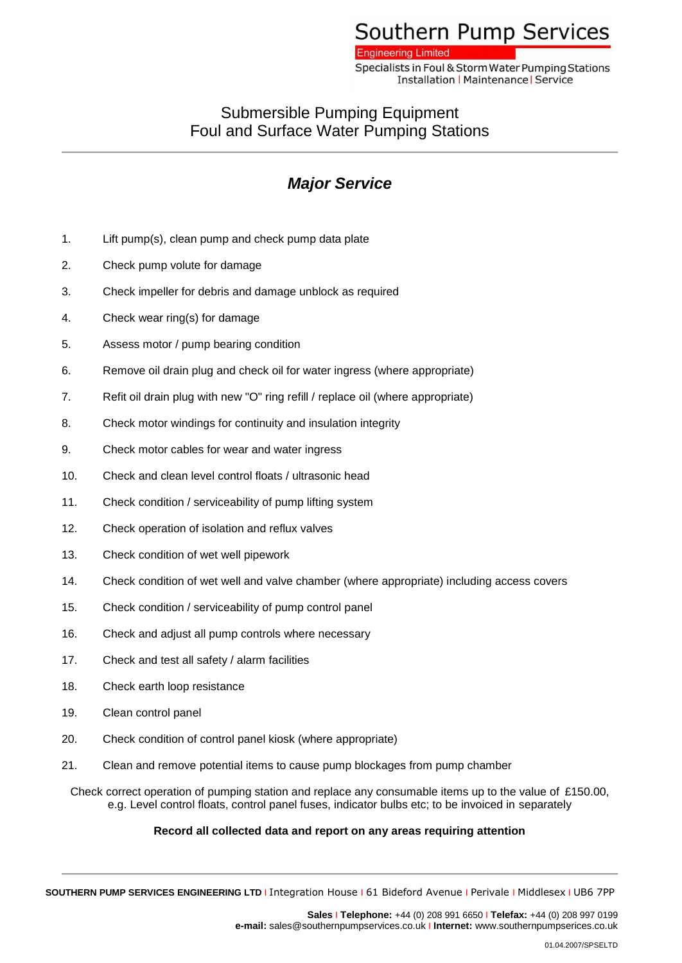# Southern Pump Services

**Engineering Limited** 

Specialists in Foul & Storm Water Pumping Stations **Installation | Maintenance | Service** 

### Submersible Pumping Equipment Foul and Surface Water Pumping Stations

## *Major Service*

- 1. Lift pump(s), clean pump and check pump data plate
- 2. Check pump volute for damage
- 3. Check impeller for debris and damage unblock as required
- 4. Check wear ring(s) for damage
- 5. Assess motor / pump bearing condition
- 6. Remove oil drain plug and check oil for water ingress (where appropriate)
- 7. Refit oil drain plug with new "O" ring refill / replace oil (where appropriate)
- 8. Check motor windings for continuity and insulation integrity
- 9. Check motor cables for wear and water ingress
- 10. Check and clean level control floats / ultrasonic head
- 11. Check condition / serviceability of pump lifting system
- 12. Check operation of isolation and reflux valves
- 13. Check condition of wet well pipework
- 14. Check condition of wet well and valve chamber (where appropriate) including access covers
- 15. Check condition / serviceability of pump control panel
- 16. Check and adjust all pump controls where necessary
- 17. Check and test all safety / alarm facilities
- 18. Check earth loop resistance
- 19. Clean control panel
- 20. Check condition of control panel kiosk (where appropriate)
- 21. Clean and remove potential items to cause pump blockages from pump chamber

Check correct operation of pumping station and replace any consumable items up to the value of £150.00, e.g. Level control floats, control panel fuses, indicator bulbs etc; to be invoiced in separately

#### **Record all collected data and report on any areas requiring attention**

**SOUTHERN PUMP SERVICES ENGINEERING LTD** I Integration House I 61 Bideford Avenue I Perivale I Middlesex I UB6 7PP